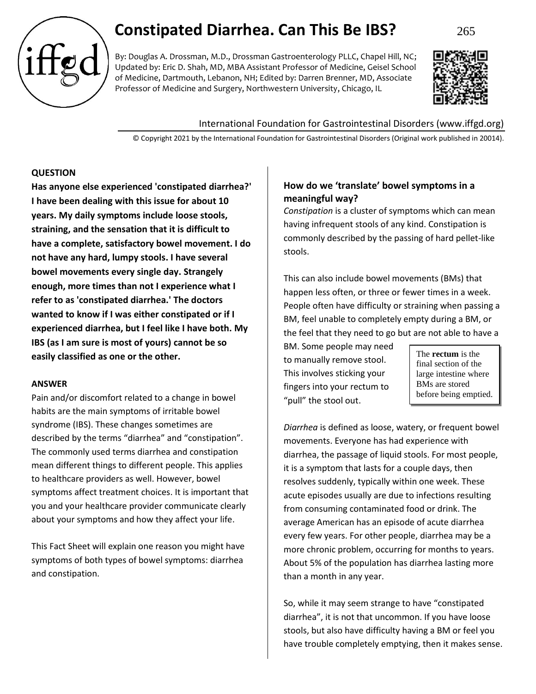# **Constipated Diarrhea. Can This Be IBS?** 265

By: Douglas A. Drossman, M.D., Drossman Gastroenterology PLLC, Chapel Hill, NC; Updated by: Eric D. Shah, MD, MBA Assistant Professor of Medicine, Geisel School of Medicine, Dartmouth, Lebanon, NH; Edited by: Darren Brenner, MD, Associate Professor of Medicine and Surgery, Northwestern University, Chicago, IL



## International Foundation for Gastrointestinal Disorders (www.iffgd.org)

© Copyright 2021 by the International Foundation for Gastrointestinal Disorders (Original work published in 20014).

## **QUESTION**

**Has anyone else experienced 'constipated diarrhea?' I have been dealing with this issue for about 10 years. My daily symptoms include loose stools, straining, and the sensation that it is difficult to have a complete, satisfactory bowel movement. I do not have any hard, lumpy stools. I have several bowel movements every single day. Strangely enough, more times than not I experience what I refer to as 'constipated diarrhea.' The doctors wanted to know if I was either constipated or if I experienced diarrhea, but I feel like I have both. My IBS (as I am sure is most of yours) cannot be so easily classified as one or the other.** 

## **ANSWER**

Pain and/or discomfort related to a change in bowel habits are the main symptoms of irritable bowel syndrome (IBS). These changes sometimes are described by the terms "diarrhea" and "constipation". The commonly used terms diarrhea and constipation mean different things to different people. This applies to healthcare providers as well. However, bowel symptoms affect treatment choices. It is important that you and your healthcare provider communicate clearly about your symptoms and how they affect your life.

This Fact Sheet will explain one reason you might have symptoms of both types of bowel symptoms: diarrhea and constipation.

# **How do we 'translate' bowel symptoms in a meaningful way?**

*Constipation* is a cluster of symptoms which can mean having infrequent stools of any kind. Constipation is commonly described by the passing of hard pellet-like stools.

This can also include bowel movements (BMs) that happen less often, or three or fewer times in a week. People often have difficulty or straining when passing a BM, feel unable to completely empty during a BM, or the feel that they need to go but are not able to have a

BM. Some people may need to manually remove stool. This involves sticking your fingers into your rectum to "pull" the stool out.

The **rectum** is the final section of the large intestine where BMs are stored before being emptied.

*Diarrhea* is defined as loose, watery, or frequent bowel movements. Everyone has had experience with diarrhea, the passage of liquid stools. For most people, it is a symptom that lasts for a couple days, then resolves suddenly, typically within one week. These acute episodes usually are due to infections resulting from consuming contaminated food or drink. The average American has an episode of acute diarrhea every few years. For other people, diarrhea may be a more chronic problem, occurring for months to years. About 5% of the population has diarrhea lasting more than a month in any year.

So, while it may seem strange to have "constipated diarrhea", it is not that uncommon. If you have loose stools, but also have difficulty having a BM or feel you have trouble completely emptying, then it makes sense.